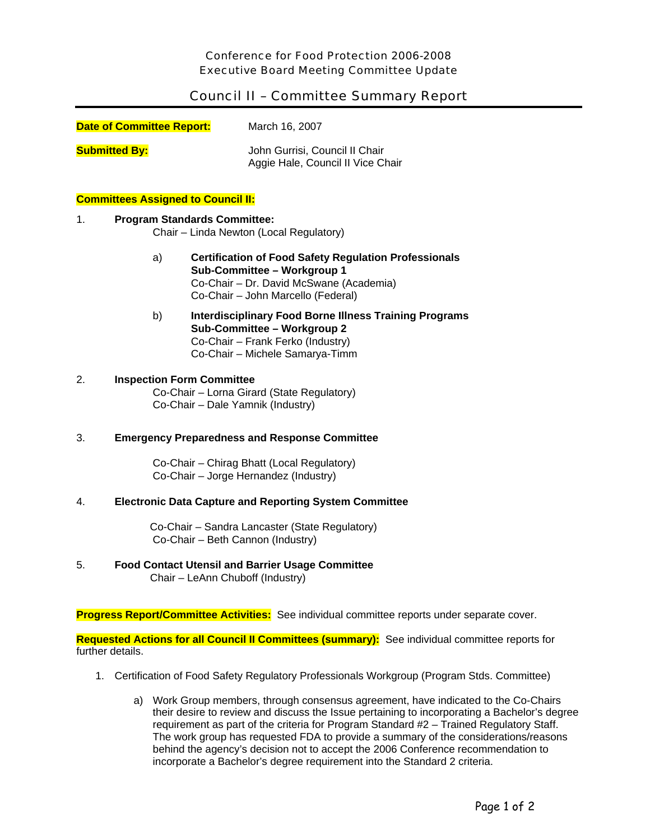## Council II – Committee Summary Report

| <b>Date of Committee Report:</b> | March 16, 2007                                                      |
|----------------------------------|---------------------------------------------------------------------|
| <b>Submitted By:</b>             | John Gurrisi, Council II Chair<br>Aggie Hale, Council II Vice Chair |

### **Committees Assigned to Council II:**

### 1. **Program Standards Committee:**

Chair – Linda Newton (Local Regulatory)

- a) **Certification of Food Safety Regulation Professionals Sub-Committee – Workgroup 1**  Co-Chair – Dr. David McSwane (Academia) Co-Chair – John Marcello (Federal)
- b) **Interdisciplinary Food Borne Illness Training Programs Sub-Committee – Workgroup 2**  Co-Chair – Frank Ferko (Industry) Co-Chair – Michele Samarya-Timm

# 2. **Inspection Form Committee**

Co-Chair – Lorna Girard (State Regulatory) Co-Chair – Dale Yamnik (Industry)

### 3. **Emergency Preparedness and Response Committee**

Co-Chair – Chirag Bhatt (Local Regulatory) Co-Chair – Jorge Hernandez (Industry)

### 4. **Electronic Data Capture and Reporting System Committee**

Co-Chair – Sandra Lancaster (State Regulatory) Co-Chair – Beth Cannon (Industry)

### 5. **Food Contact Utensil and Barrier Usage Committee**

Chair – LeAnn Chuboff (Industry)

**Progress Report/Committee Activities:** See individual committee reports under separate cover.

**Requested Actions for all Council II Committees (summary):** See individual committee reports for further details.

- 1. Certification of Food Safety Regulatory Professionals Workgroup (Program Stds. Committee)
	- a) Work Group members, through consensus agreement, have indicated to the Co-Chairs their desire to review and discuss the Issue pertaining to incorporating a Bachelor's degree requirement as part of the criteria for Program Standard #2 – Trained Regulatory Staff. The work group has requested FDA to provide a summary of the considerations/reasons behind the agency's decision not to accept the 2006 Conference recommendation to incorporate a Bachelor's degree requirement into the Standard 2 criteria.